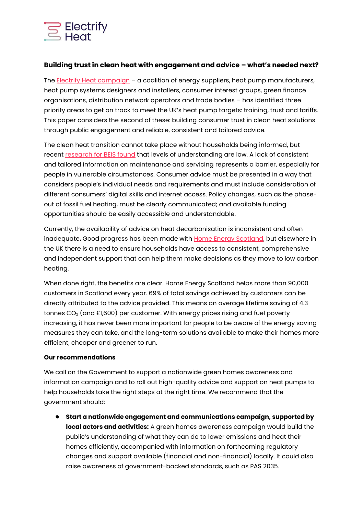

## **Building trust in clean heat with engagement and advice – what's needed next?**

The [Electrify Heat campaign](https://electrifyheat.uk/who-is-involved/) – a coalition of energy suppliers, heat pump manufacturers, heat pump systems designers and installers, consumer interest groups, green finance organisations, distribution network operators and trade bodies – has identified three priority areas to get on track to meet the UK's heat pump targets: training, trust and tariffs. This paper considers the second of these: building consumer trust in clean heat solutions through public engagement and reliable, consistent and tailored advice.

The clean heat transition cannot take place without households being informed, but recent [research for BEIS found](https://assets.publishing.service.gov.uk/government/uploads/system/uploads/attachment_data/file/959601/BEIS_PAT_W36_-_Key_Findings.pdf) that levels of understanding are low. A lack of consistent and tailored information on maintenance and servicing represents a barrier, especially for people in vulnerable circumstances. Consumer advice must be presented in a way that considers people's individual needs and requirements and must include consideration of different consumers' digital skills and internet access. Policy changes, such as the phaseout of fossil fuel heating, must be clearly communicated; and available funding opportunities should be easily accessible and understandable.

Currently, the availability of advice on heat decarbonisation is inconsistent and often inadequate**.** Good progress has been made with [Home Energy Scotland,](https://www.homeenergyscotland.org/) but elsewhere in the UK there is a need to ensure households have access to consistent, comprehensive and independent support that can help them make decisions as they move to low carbon heating.

When done right, the benefits are clear. Home Energy Scotland helps more than 90,000 customers in Scotland every year. 69% of total savings achieved by customers can be directly attributed to the advice provided. This means an average lifetime saving of 4.3 tonnes  $CO<sub>2</sub>$  (and £1,600) per customer. With energy prices rising and fuel poverty increasing, it has never been more important for people to be aware of the energy saving measures they can take, and the long-term solutions available to make their homes more efficient, cheaper and greener to run.

## **Our recommendations**

We call on the Government to support a nationwide green homes awareness and information campaign and to roll out high-quality advice and support on heat pumps to help households take the right steps at the right time. We recommend that the government should:

**● Start a nationwide engagement and communications campaign, supported by local actors and activities:** A green homes awareness campaign would build the public's understanding of what they can do to lower emissions and heat their homes efficiently, accompanied with information on forthcoming regulatory changes and support available (financial and non-financial) locally. It could also raise awareness of government-backed standards, such as PAS 2035.